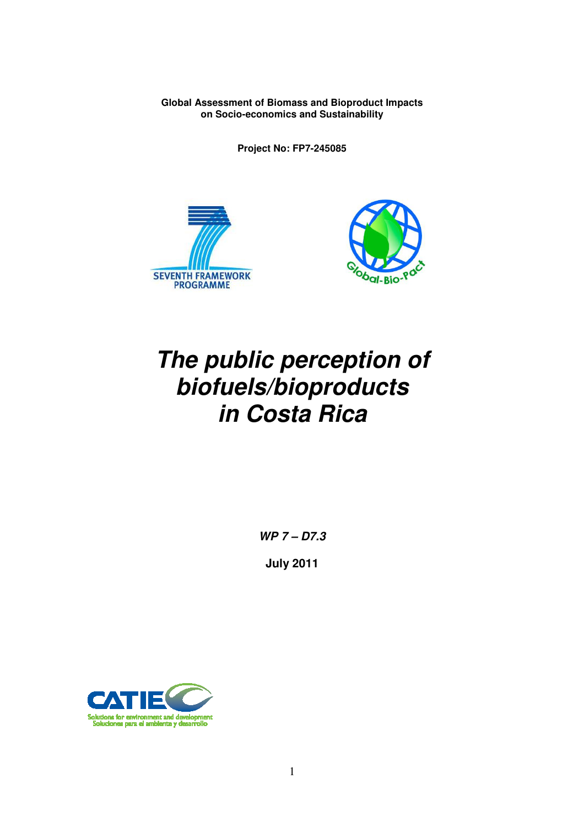**Global Assessment of Biomass and Bioproduct Impacts on Socio-economics and Sustainability** 

**Project No: FP7-245085** 





# **The public perception of biofuels/bioproducts in Costa Rica**

**WP 7 – D7.3** 

**July 2011** 

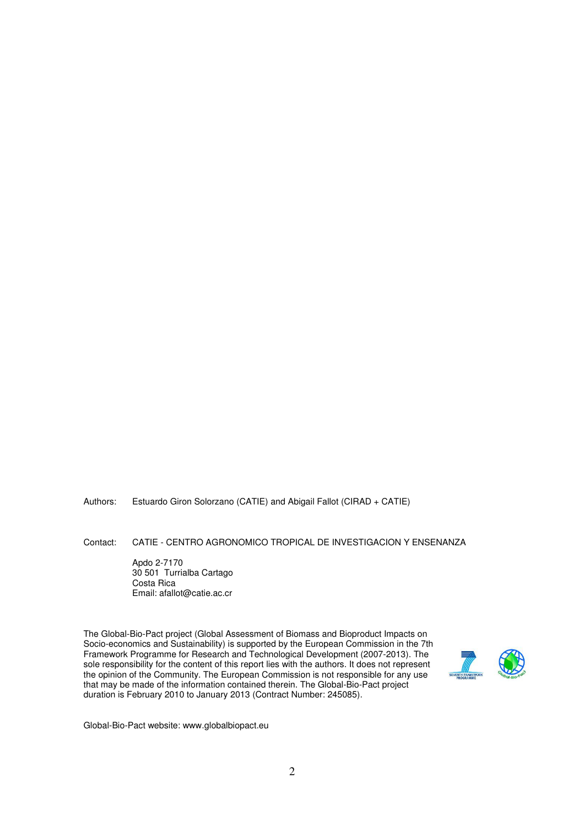Authors: Estuardo Giron Solorzano (CATIE) and Abigail Fallot (CIRAD + CATIE)

Contact: CATIE - CENTRO AGRONOMICO TROPICAL DE INVESTIGACION Y ENSENANZA

 Apdo 2-7170 30 501 Turrialba Cartago Costa Rica Email: afallot@catie.ac.cr

The Global-Bio-Pact project (Global Assessment of Biomass and Bioproduct Impacts on Socio-economics and Sustainability) is supported by the European Commission in the 7th Framework Programme for Research and Technological Development (2007-2013). The sole responsibility for the content of this report lies with the authors. It does not represent the opinion of the Community. The European Commission is not responsible for any use that may be made of the information contained therein. The Global-Bio-Pact project duration is February 2010 to January 2013 (Contract Number: 245085).



Global-Bio-Pact website: www.globalbiopact.eu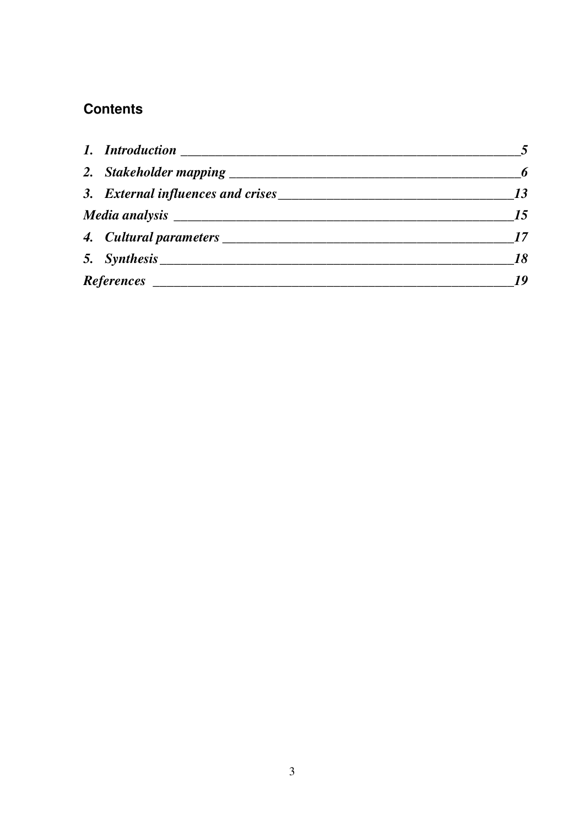## **Contents**

| $\overline{\mathbf{6}}$ |
|-------------------------|
| 13                      |
| 15                      |
|                         |
| 18                      |
| 19                      |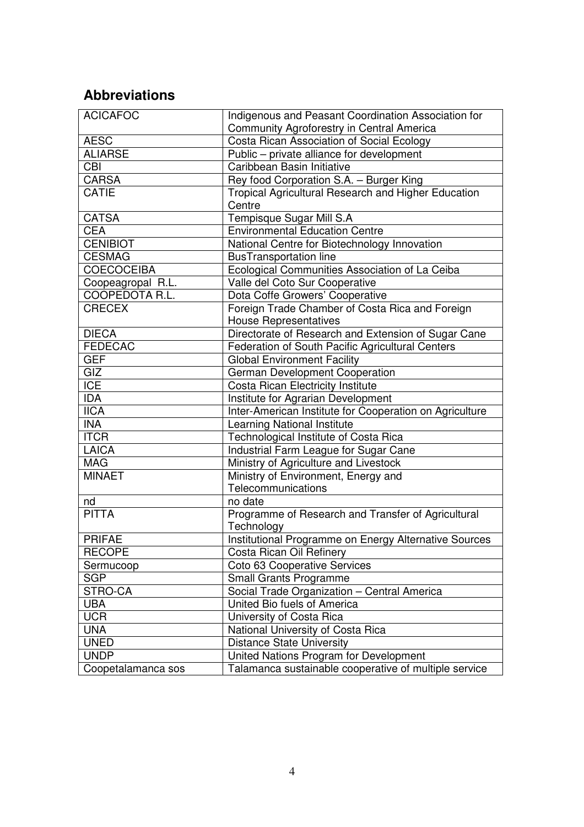# **Abbreviations**

| <b>ACICAFOC</b>          | Indigenous and Peasant Coordination Association for     |  |  |  |
|--------------------------|---------------------------------------------------------|--|--|--|
|                          | Community Agroforestry in Central America               |  |  |  |
| <b>AESC</b>              | Costa Rican Association of Social Ecology               |  |  |  |
| <b>ALIARSE</b>           | Public - private alliance for development               |  |  |  |
| $\overline{CBI}$         | Caribbean Basin Initiative                              |  |  |  |
| <b>CARSA</b>             | Rey food Corporation S.A. - Burger King                 |  |  |  |
| CATIE                    | Tropical Agricultural Research and Higher Education     |  |  |  |
|                          | Centre                                                  |  |  |  |
| <b>CATSA</b>             | Tempisque Sugar Mill S.A                                |  |  |  |
| <b>CEA</b>               | <b>Environmental Education Centre</b>                   |  |  |  |
| <b>CENIBIOT</b>          | National Centre for Biotechnology Innovation            |  |  |  |
| <b>CESMAG</b>            | <b>BusTransportation line</b>                           |  |  |  |
| <b>COECOCEIBA</b>        | Ecological Communities Association of La Ceiba          |  |  |  |
| Coopeagropal R.L.        | Valle del Coto Sur Cooperative                          |  |  |  |
| COOPEDOTA R.L.           | Dota Coffe Growers' Cooperative                         |  |  |  |
| <b>CRECEX</b>            | Foreign Trade Chamber of Costa Rica and Foreign         |  |  |  |
|                          | <b>House Representatives</b>                            |  |  |  |
| <b>DIECA</b>             | Directorate of Research and Extension of Sugar Cane     |  |  |  |
| <b>FEDECAC</b>           | Federation of South Pacific Agricultural Centers        |  |  |  |
| <b>GEF</b>               | <b>Global Environment Facility</b>                      |  |  |  |
| GIZ                      | German Development Cooperation                          |  |  |  |
| <b>ICE</b>               | Costa Rican Electricity Institute                       |  |  |  |
| <b>IDA</b>               | Institute for Agrarian Development                      |  |  |  |
| $\overline{\text{IICA}}$ | Inter-American Institute for Cooperation on Agriculture |  |  |  |
| <b>INA</b>               | Learning National Institute                             |  |  |  |
| <b>ITCR</b>              | Technological Institute of Costa Rica                   |  |  |  |
| <b>LAICA</b>             | Industrial Farm League for Sugar Cane                   |  |  |  |
| <b>MAG</b>               | Ministry of Agriculture and Livestock                   |  |  |  |
| <b>MINAET</b>            | Ministry of Environment, Energy and                     |  |  |  |
|                          | Telecommunications                                      |  |  |  |
| nd                       | no date                                                 |  |  |  |
| <b>PITTA</b>             | Programme of Research and Transfer of Agricultural      |  |  |  |
|                          | Technology                                              |  |  |  |
| <b>PRIFAE</b>            | Institutional Programme on Energy Alternative Sources   |  |  |  |
| <b>RECOPE</b>            | Costa Rican Oil Refinery                                |  |  |  |
| Sermucoop                | Coto 63 Cooperative Services                            |  |  |  |
| <b>SGP</b>               | <b>Small Grants Programme</b>                           |  |  |  |
| STRO-CA                  | Social Trade Organization - Central America             |  |  |  |
| <b>UBA</b>               | United Bio fuels of America                             |  |  |  |
| <b>UCR</b>               | University of Costa Rica                                |  |  |  |
| <b>UNA</b>               | National University of Costa Rica                       |  |  |  |
| <b>UNED</b>              | <b>Distance State University</b>                        |  |  |  |
| <b>UNDP</b>              | United Nations Program for Development                  |  |  |  |
| Coopetalamanca sos       | Talamanca sustainable cooperative of multiple service   |  |  |  |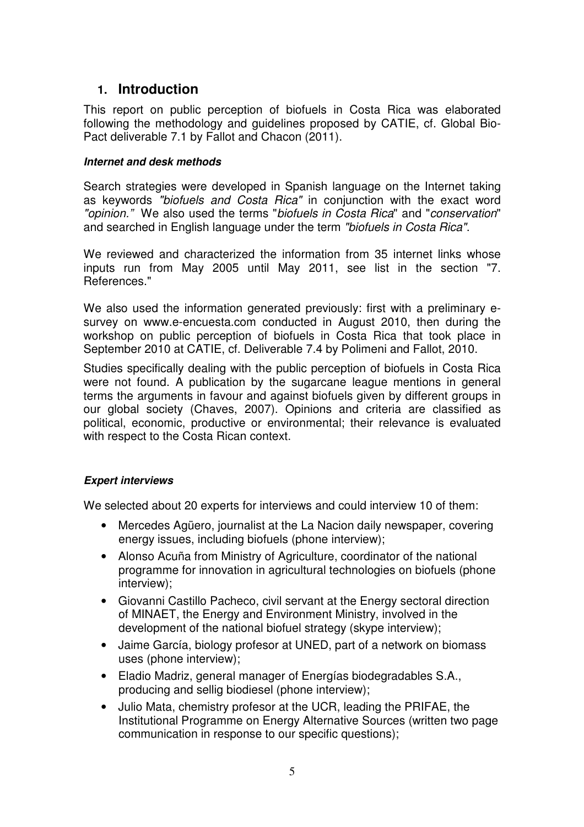## **1. Introduction**

This report on public perception of biofuels in Costa Rica was elaborated following the methodology and guidelines proposed by CATIE, cf. Global Bio-Pact deliverable 7.1 by Fallot and Chacon (2011).

#### **Internet and desk methods**

Search strategies were developed in Spanish language on the Internet taking as keywords "biofuels and Costa Rica" in conjunction with the exact word "opinion." We also used the terms "biofuels in Costa Rica" and "conservation" and searched in English language under the term "biofuels in Costa Rica".

We reviewed and characterized the information from 35 internet links whose inputs run from May 2005 until May 2011, see list in the section "7. References."

We also used the information generated previously: first with a preliminary esurvey on www.e-encuesta.com conducted in August 2010, then during the workshop on public perception of biofuels in Costa Rica that took place in September 2010 at CATIE, cf. Deliverable 7.4 by Polimeni and Fallot, 2010.

Studies specifically dealing with the public perception of biofuels in Costa Rica were not found. A publication by the sugarcane league mentions in general terms the arguments in favour and against biofuels given by different groups in our global society (Chaves, 2007). Opinions and criteria are classified as political, economic, productive or environmental; their relevance is evaluated with respect to the Costa Rican context.

#### **Expert interviews**

We selected about 20 experts for interviews and could interview 10 of them:

- Mercedes Agüero, journalist at the La Nacion daily newspaper, covering energy issues, including biofuels (phone interview);
- Alonso Acuña from Ministry of Agriculture, coordinator of the national programme for innovation in agricultural technologies on biofuels (phone interview);
- Giovanni Castillo Pacheco, civil servant at the Energy sectoral direction of MINAET, the Energy and Environment Ministry, involved in the development of the national biofuel strategy (skype interview);
- Jaime García, biology profesor at UNED, part of a network on biomass uses (phone interview);
- Eladio Madriz, general manager of Energías biodegradables S.A., producing and sellig biodiesel (phone interview);
- Julio Mata, chemistry profesor at the UCR, leading the PRIFAE, the Institutional Programme on Energy Alternative Sources (written two page communication in response to our specific questions);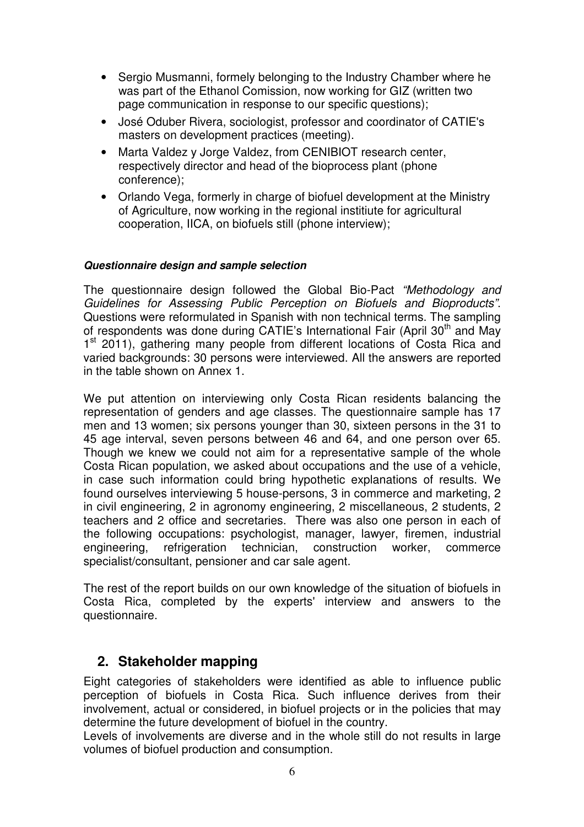- Sergio Musmanni, formely belonging to the Industry Chamber where he was part of the Ethanol Comission, now working for GIZ (written two page communication in response to our specific questions);
- José Oduber Rivera, sociologist, professor and coordinator of CATIE's masters on development practices (meeting).
- Marta Valdez y Jorge Valdez, from CENIBIOT research center, respectively director and head of the bioprocess plant (phone conference);
- Orlando Vega, formerly in charge of biofuel development at the Ministry of Agriculture, now working in the regional institiute for agricultural cooperation, IICA, on biofuels still (phone interview);

#### **Questionnaire design and sample selection**

The questionnaire design followed the Global Bio-Pact "Methodology and Guidelines for Assessing Public Perception on Biofuels and Bioproducts". Questions were reformulated in Spanish with non technical terms. The sampling of respondents was done during CATIE's International Fair (April 30<sup>th</sup> and May 1<sup>st</sup> 2011), gathering many people from different locations of Costa Rica and varied backgrounds: 30 persons were interviewed. All the answers are reported in the table shown on Annex 1.

We put attention on interviewing only Costa Rican residents balancing the representation of genders and age classes. The questionnaire sample has 17 men and 13 women; six persons younger than 30, sixteen persons in the 31 to 45 age interval, seven persons between 46 and 64, and one person over 65. Though we knew we could not aim for a representative sample of the whole Costa Rican population, we asked about occupations and the use of a vehicle, in case such information could bring hypothetic explanations of results. We found ourselves interviewing 5 house-persons, 3 in commerce and marketing, 2 in civil engineering, 2 in agronomy engineering, 2 miscellaneous, 2 students, 2 teachers and 2 office and secretaries. There was also one person in each of the following occupations: psychologist, manager, lawyer, firemen, industrial engineering, refrigeration technician, construction worker, commerce specialist/consultant, pensioner and car sale agent.

The rest of the report builds on our own knowledge of the situation of biofuels in Costa Rica, completed by the experts' interview and answers to the questionnaire.

## **2. Stakeholder mapping**

Eight categories of stakeholders were identified as able to influence public perception of biofuels in Costa Rica. Such influence derives from their involvement, actual or considered, in biofuel projects or in the policies that may determine the future development of biofuel in the country.

Levels of involvements are diverse and in the whole still do not results in large volumes of biofuel production and consumption.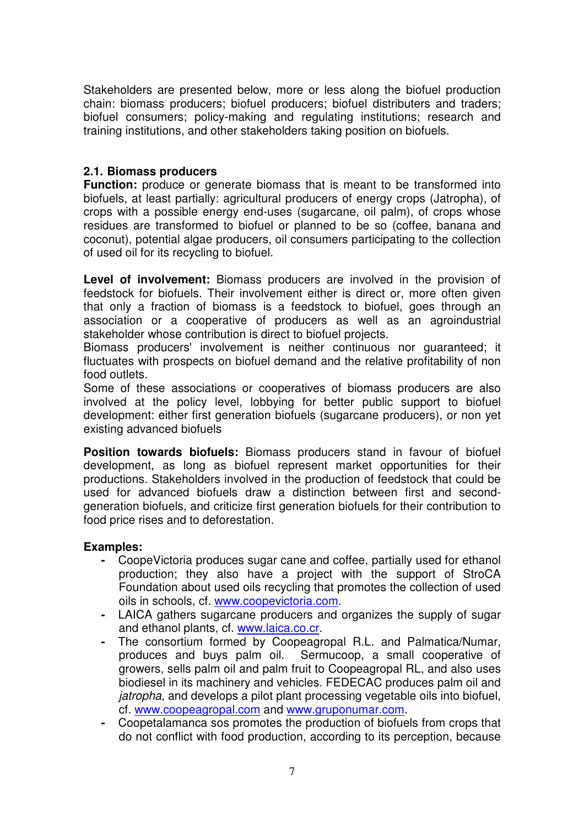Stakeholders are presented below, more or less along the biofuel production chain: biomass producers; biofuel producers; biofuel distributers and traders; biofuel consumers; policy-making and regulating institutions; research and training institutions, and other stakeholders taking position on biofuels.

#### **2.1. Biomass producers**

**Function:** produce or generate biomass that is meant to be transformed into biofuels, at least partially: agricultural producers of energy crops (Jatropha), of crops with a possible energy end-uses (sugarcane, oil palm), of crops whose residues are transformed to biofuel or planned to be so (coffee, banana and coconut), potential algae producers, oil consumers participating to the collection of used oil for its recycling to biofuel.

**Level of involvement:** Biomass producers are involved in the provision of feedstock for biofuels. Their involvement either is direct or, more often given that only a fraction of biomass is a feedstock to biofuel, goes through an association or a cooperative of producers as well as an agroindustrial stakeholder whose contribution is direct to biofuel projects.

Biomass producers' involvement is neither continuous nor guaranteed; it fluctuates with prospects on biofuel demand and the relative profitability of non food outlets.

Some of these associations or cooperatives of biomass producers are also involved at the policy level, lobbying for better public support to biofuel development: either first generation biofuels (sugarcane producers), or non yet existing advanced biofuels

**Position towards biofuels:** Biomass producers stand in favour of biofuel development, as long as biofuel represent market opportunities for their productions. Stakeholders involved in the production of feedstock that could be used for advanced biofuels draw a distinction between first and secondgeneration biofuels, and criticize first generation biofuels for their contribution to food price rises and to deforestation.

#### **Examples:**

- CoopeVictoria produces sugar cane and coffee, partially used for ethanol production; they also have a project with the support of StroCA Foundation about used oils recycling that promotes the collection of used oils in schools, cf. www.coopevictoria.com.
- LAICA gathers sugarcane producers and organizes the supply of sugar and ethanol plants, cf. www.laica.co.cr.
- The consortium formed by Coopeagropal R.L. and Palmatica/Numar, produces and buys palm oil. Sermucoop, a small cooperative of growers, sells palm oil and palm fruit to Coopeagropal RL, and also uses biodiesel in its machinery and vehicles. FEDECAC produces palm oil and jatropha, and develops a pilot plant processing vegetable oils into biofuel, cf. www.coopeagropal.com and www.gruponumar.com.
- Coopetalamanca sos promotes the production of biofuels from crops that do not conflict with food production, according to its perception, because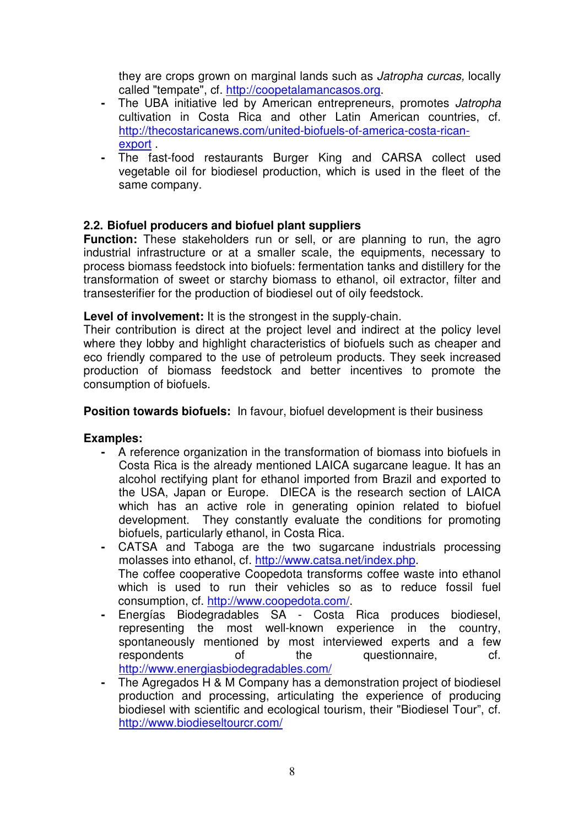they are crops grown on marginal lands such as Jatropha curcas, locally called "tempate", cf. http://coopetalamancasos.org.

- The UBA initiative led by American entrepreneurs, promotes Jatropha cultivation in Costa Rica and other Latin American countries, cf. http://thecostaricanews.com/united-biofuels-of-america-costa-ricanexport .
- The fast-food restaurants Burger King and CARSA collect used vegetable oil for biodiesel production, which is used in the fleet of the same company.

#### **2.2. Biofuel producers and biofuel plant suppliers**

**Function:** These stakeholders run or sell, or are planning to run, the agro industrial infrastructure or at a smaller scale, the equipments, necessary to process biomass feedstock into biofuels: fermentation tanks and distillery for the transformation of sweet or starchy biomass to ethanol, oil extractor, filter and transesterifier for the production of biodiesel out of oily feedstock.

#### **Level of involvement:** It is the strongest in the supply-chain.

Their contribution is direct at the project level and indirect at the policy level where they lobby and highlight characteristics of biofuels such as cheaper and eco friendly compared to the use of petroleum products. They seek increased production of biomass feedstock and better incentives to promote the consumption of biofuels.

#### **Position towards biofuels:** In favour, biofuel development is their business

#### **Examples:**

- A reference organization in the transformation of biomass into biofuels in Costa Rica is the already mentioned LAICA sugarcane league. It has an alcohol rectifying plant for ethanol imported from Brazil and exported to the USA, Japan or Europe. DIECA is the research section of LAICA which has an active role in generating opinion related to biofuel development. They constantly evaluate the conditions for promoting biofuels, particularly ethanol, in Costa Rica.
- CATSA and Taboga are the two sugarcane industrials processing molasses into ethanol, cf. http://www.catsa.net/index.php. The coffee cooperative Coopedota transforms coffee waste into ethanol which is used to run their vehicles so as to reduce fossil fuel consumption, cf. http://www.coopedota.com/.
- Energías Biodegradables SA Costa Rica produces biodiesel, representing the most well-known experience in the country, spontaneously mentioned by most interviewed experts and a few respondents of the questionnaire, cf. http://www.energiasbiodegradables.com/
- The Agregados H & M Company has a demonstration project of biodiesel production and processing, articulating the experience of producing biodiesel with scientific and ecological tourism, their "Biodiesel Tour", cf. http://www.biodieseltourcr.com/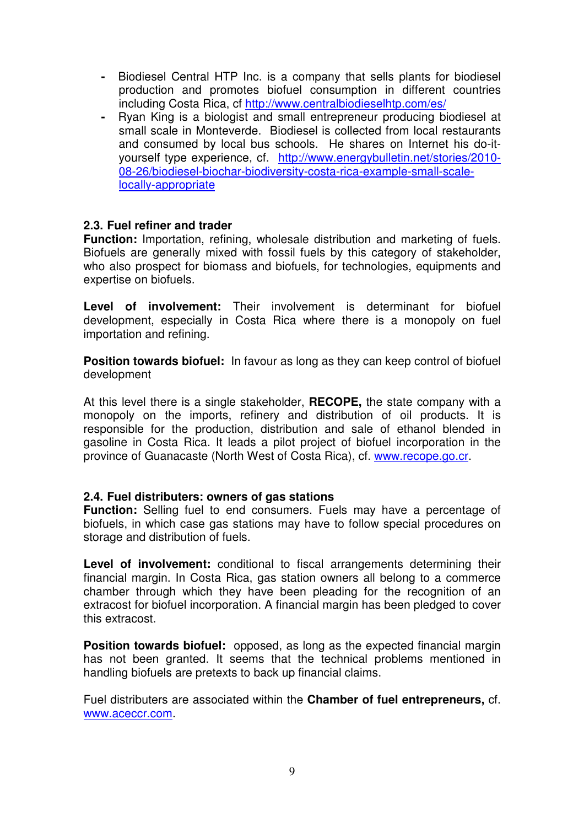- Biodiesel Central HTP Inc. is a company that sells plants for biodiesel production and promotes biofuel consumption in different countries including Costa Rica, cf http://www.centralbiodieselhtp.com/es/
- Ryan King is a biologist and small entrepreneur producing biodiesel at small scale in Monteverde. Biodiesel is collected from local restaurants and consumed by local bus schools. He shares on Internet his do-ityourself type experience, cf. http://www.energybulletin.net/stories/2010- 08-26/biodiesel-biochar-biodiversity-costa-rica-example-small-scalelocally-appropriate

#### **2.3. Fuel refiner and trader**

**Function:** Importation, refining, wholesale distribution and marketing of fuels. Biofuels are generally mixed with fossil fuels by this category of stakeholder, who also prospect for biomass and biofuels, for technologies, equipments and expertise on biofuels.

**Level of involvement:** Their involvement is determinant for biofuel development, especially in Costa Rica where there is a monopoly on fuel importation and refining.

**Position towards biofuel:** In favour as long as they can keep control of biofuel development

At this level there is a single stakeholder, **RECOPE,** the state company with a monopoly on the imports, refinery and distribution of oil products. It is responsible for the production, distribution and sale of ethanol blended in gasoline in Costa Rica. It leads a pilot project of biofuel incorporation in the province of Guanacaste (North West of Costa Rica), cf. www.recope.go.cr.

#### **2.4. Fuel distributers: owners of gas stations**

**Function:** Selling fuel to end consumers. Fuels may have a percentage of biofuels, in which case gas stations may have to follow special procedures on storage and distribution of fuels.

**Level of involvement:** conditional to fiscal arrangements determining their financial margin. In Costa Rica, gas station owners all belong to a commerce chamber through which they have been pleading for the recognition of an extracost for biofuel incorporation. A financial margin has been pledged to cover this extracost.

**Position towards biofuel:** opposed, as long as the expected financial margin has not been granted. It seems that the technical problems mentioned in handling biofuels are pretexts to back up financial claims.

Fuel distributers are associated within the **Chamber of fuel entrepreneurs,** cf. www.aceccr.com.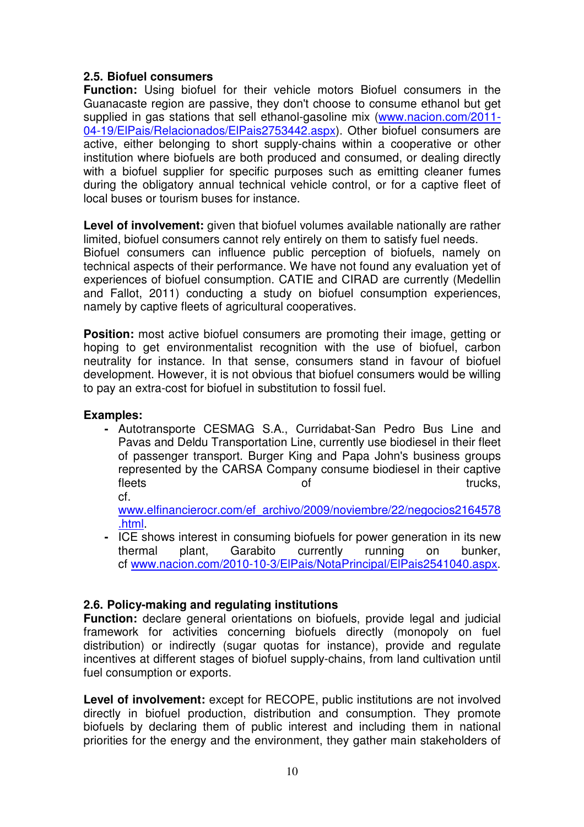#### **2.5. Biofuel consumers**

**Function:** Using biofuel for their vehicle motors Biofuel consumers in the Guanacaste region are passive, they don't choose to consume ethanol but get supplied in gas stations that sell ethanol-gasoline mix (www.nacion.com/2011- 04-19/ElPais/Relacionados/ElPais2753442.aspx). Other biofuel consumers are active, either belonging to short supply-chains within a cooperative or other institution where biofuels are both produced and consumed, or dealing directly with a biofuel supplier for specific purposes such as emitting cleaner fumes during the obligatory annual technical vehicle control, or for a captive fleet of local buses or tourism buses for instance.

**Level of involvement:** given that biofuel volumes available nationally are rather limited, biofuel consumers cannot rely entirely on them to satisfy fuel needs. Biofuel consumers can influence public perception of biofuels, namely on technical aspects of their performance. We have not found any evaluation yet of experiences of biofuel consumption. CATIE and CIRAD are currently (Medellin and Fallot, 2011) conducting a study on biofuel consumption experiences, namely by captive fleets of agricultural cooperatives.

**Position:** most active biofuel consumers are promoting their image, getting or hoping to get environmentalist recognition with the use of biofuel, carbon neutrality for instance. In that sense, consumers stand in favour of biofuel development. However, it is not obvious that biofuel consumers would be willing to pay an extra-cost for biofuel in substitution to fossil fuel.

#### **Examples:**

**-** Autotransporte CESMAG S.A., Curridabat-San Pedro Bus Line and Pavas and Deldu Transportation Line, currently use biodiesel in their fleet of passenger transport. Burger King and Papa John's business groups represented by the CARSA Company consume biodiesel in their captive fleets trucks, cf.

www.elfinancierocr.com/ef\_archivo/2009/noviembre/22/negocios2164578 .html.

**-** ICE shows interest in consuming biofuels for power generation in its new thermal plant, Garabito currently running on bunker, cf www.nacion.com/2010-10-3/ElPais/NotaPrincipal/ElPais2541040.aspx.

#### **2.6. Policy-making and regulating institutions**

**Function:** declare general orientations on biofuels, provide legal and judicial framework for activities concerning biofuels directly (monopoly on fuel distribution) or indirectly (sugar quotas for instance), provide and regulate incentives at different stages of biofuel supply-chains, from land cultivation until fuel consumption or exports.

**Level of involvement:** except for RECOPE, public institutions are not involved directly in biofuel production, distribution and consumption. They promote biofuels by declaring them of public interest and including them in national priorities for the energy and the environment, they gather main stakeholders of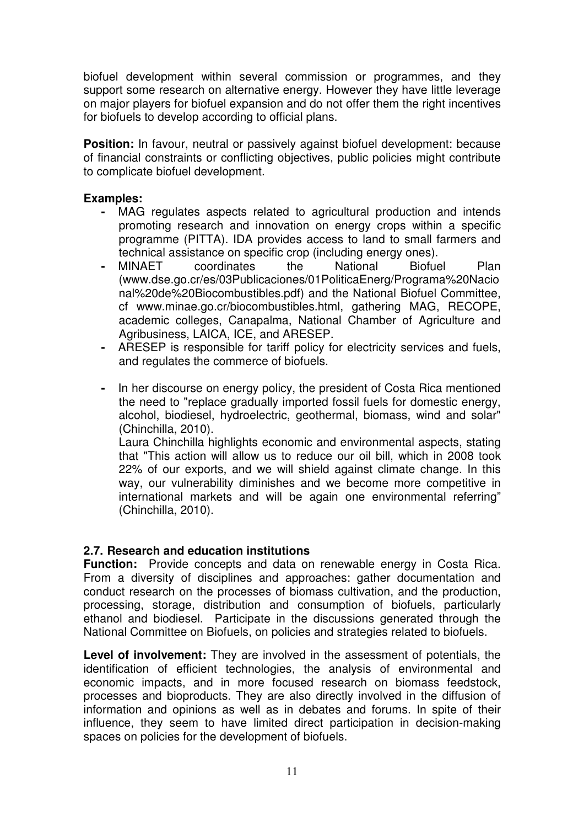biofuel development within several commission or programmes, and they support some research on alternative energy. However they have little leverage on major players for biofuel expansion and do not offer them the right incentives for biofuels to develop according to official plans.

**Position:** In favour, neutral or passively against biofuel development: because of financial constraints or conflicting objectives, public policies might contribute to complicate biofuel development.

#### **Examples:**

- MAG regulates aspects related to agricultural production and intends promoting research and innovation on energy crops within a specific programme (PITTA). IDA provides access to land to small farmers and technical assistance on specific crop (including energy ones).
- MINAET coordinates the National Biofuel Plan (www.dse.go.cr/es/03Publicaciones/01PoliticaEnerg/Programa%20Nacio nal%20de%20Biocombustibles.pdf) and the National Biofuel Committee, cf www.minae.go.cr/biocombustibles.html, gathering MAG, RECOPE, academic colleges, Canapalma, National Chamber of Agriculture and Agribusiness, LAICA, ICE, and ARESEP.
- ARESEP is responsible for tariff policy for electricity services and fuels, and regulates the commerce of biofuels.
- In her discourse on energy policy, the president of Costa Rica mentioned the need to "replace gradually imported fossil fuels for domestic energy, alcohol, biodiesel, hydroelectric, geothermal, biomass, wind and solar" (Chinchilla, 2010).

Laura Chinchilla highlights economic and environmental aspects, stating that "This action will allow us to reduce our oil bill, which in 2008 took 22% of our exports, and we will shield against climate change. In this way, our vulnerability diminishes and we become more competitive in international markets and will be again one environmental referring" (Chinchilla, 2010).

#### **2.7. Research and education institutions**

**Function:** Provide concepts and data on renewable energy in Costa Rica. From a diversity of disciplines and approaches: gather documentation and conduct research on the processes of biomass cultivation, and the production, processing, storage, distribution and consumption of biofuels, particularly ethanol and biodiesel. Participate in the discussions generated through the National Committee on Biofuels, on policies and strategies related to biofuels.

**Level of involvement:** They are involved in the assessment of potentials, the identification of efficient technologies, the analysis of environmental and economic impacts, and in more focused research on biomass feedstock, processes and bioproducts. They are also directly involved in the diffusion of information and opinions as well as in debates and forums. In spite of their influence, they seem to have limited direct participation in decision-making spaces on policies for the development of biofuels.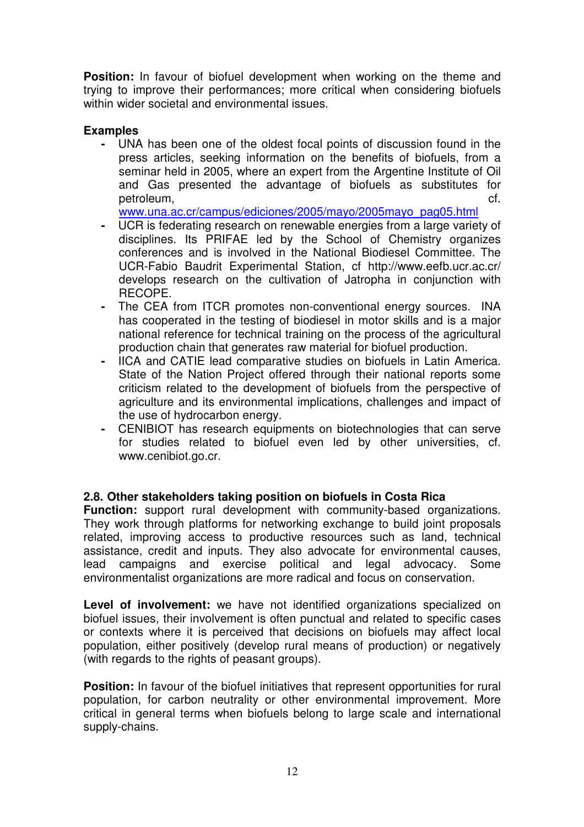**Position:** In favour of biofuel development when working on the theme and trying to improve their performances; more critical when considering biofuels within wider societal and environmental issues.

#### **Examples**

**-** UNA has been one of the oldest focal points of discussion found in the press articles, seeking information on the benefits of biofuels, from a seminar held in 2005, where an expert from the Argentine Institute of Oil and Gas presented the advantage of biofuels as substitutes for petroleum, cf.

www.una.ac.cr/campus/ediciones/2005/mayo/2005mayo\_pag05.html

- UCR is federating research on renewable energies from a large variety of disciplines. Its PRIFAE led by the School of Chemistry organizes conferences and is involved in the National Biodiesel Committee. The UCR-Fabio Baudrit Experimental Station, cf http://www.eefb.ucr.ac.cr/ develops research on the cultivation of Jatropha in conjunction with RECOPE.
- The CEA from ITCR promotes non-conventional energy sources. INA has cooperated in the testing of biodiesel in motor skills and is a major national reference for technical training on the process of the agricultural production chain that generates raw material for biofuel production.
- IICA and CATIE lead comparative studies on biofuels in Latin America. State of the Nation Project offered through their national reports some criticism related to the development of biofuels from the perspective of agriculture and its environmental implications, challenges and impact of the use of hydrocarbon energy.
- CENIBIOT has research equipments on biotechnologies that can serve for studies related to biofuel even led by other universities, cf. www.cenibiot.go.cr.

#### **2.8. Other stakeholders taking position on biofuels in Costa Rica**

**Function:** support rural development with community-based organizations. They work through platforms for networking exchange to build joint proposals related, improving access to productive resources such as land, technical assistance, credit and inputs. They also advocate for environmental causes, lead campaigns and exercise political and legal advocacy. Some environmentalist organizations are more radical and focus on conservation.

**Level of involvement:** we have not identified organizations specialized on biofuel issues, their involvement is often punctual and related to specific cases or contexts where it is perceived that decisions on biofuels may affect local population, either positively (develop rural means of production) or negatively (with regards to the rights of peasant groups).

**Position:** In favour of the biofuel initiatives that represent opportunities for rural population, for carbon neutrality or other environmental improvement. More critical in general terms when biofuels belong to large scale and international supply-chains.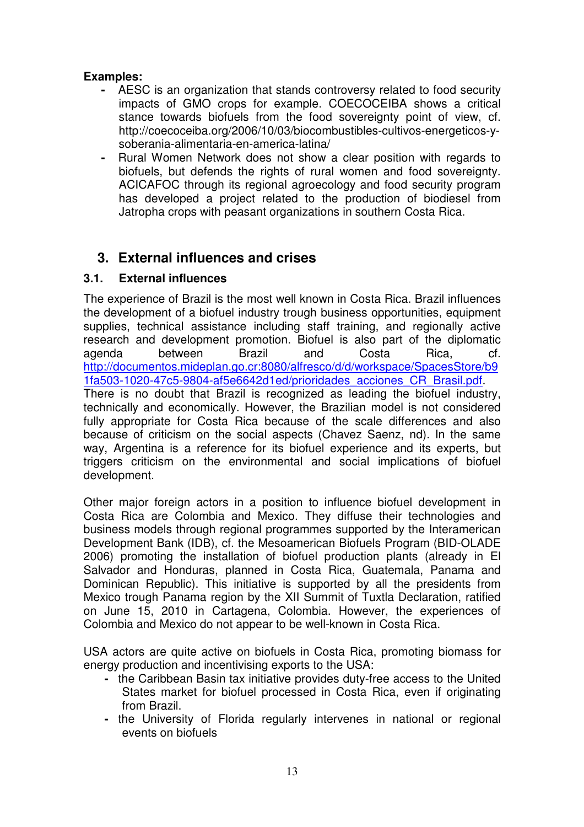#### **Examples:**

- AESC is an organization that stands controversy related to food security impacts of GMO crops for example. COECOCEIBA shows a critical stance towards biofuels from the food sovereignty point of view, cf. http://coecoceiba.org/2006/10/03/biocombustibles-cultivos-energeticos-ysoberania-alimentaria-en-america-latina/
- Rural Women Network does not show a clear position with regards to biofuels, but defends the rights of rural women and food sovereignty. ACICAFOC through its regional agroecology and food security program has developed a project related to the production of biodiesel from Jatropha crops with peasant organizations in southern Costa Rica.

## **3. External influences and crises**

#### **3.1. External influences**

The experience of Brazil is the most well known in Costa Rica. Brazil influences the development of a biofuel industry trough business opportunities, equipment supplies, technical assistance including staff training, and regionally active research and development promotion. Biofuel is also part of the diplomatic agenda between Brazil and Costa Rica, cf. http://documentos.mideplan.go.cr:8080/alfresco/d/d/workspace/SpacesStore/b9 1fa503-1020-47c5-9804-af5e6642d1ed/prioridades\_acciones\_CR\_Brasil.pdf. There is no doubt that Brazil is recognized as leading the biofuel industry, technically and economically. However, the Brazilian model is not considered fully appropriate for Costa Rica because of the scale differences and also because of criticism on the social aspects (Chavez Saenz, nd). In the same way, Argentina is a reference for its biofuel experience and its experts, but triggers criticism on the environmental and social implications of biofuel development.

Other major foreign actors in a position to influence biofuel development in Costa Rica are Colombia and Mexico. They diffuse their technologies and business models through regional programmes supported by the Interamerican Development Bank (IDB), cf. the Mesoamerican Biofuels Program (BID-OLADE 2006) promoting the installation of biofuel production plants (already in El Salvador and Honduras, planned in Costa Rica, Guatemala, Panama and Dominican Republic). This initiative is supported by all the presidents from Mexico trough Panama region by the XII Summit of Tuxtla Declaration, ratified on June 15, 2010 in Cartagena, Colombia. However, the experiences of Colombia and Mexico do not appear to be well-known in Costa Rica.

USA actors are quite active on biofuels in Costa Rica, promoting biomass for energy production and incentivising exports to the USA:

- the Caribbean Basin tax initiative provides duty-free access to the United States market for biofuel processed in Costa Rica, even if originating from Brazil.
- the University of Florida regularly intervenes in national or regional events on biofuels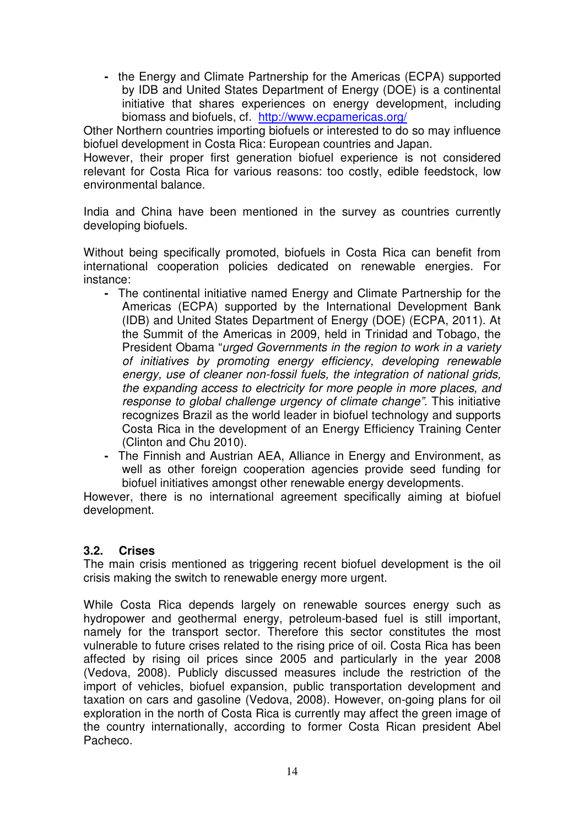**-** the Energy and Climate Partnership for the Americas (ECPA) supported by IDB and United States Department of Energy (DOE) is a continental initiative that shares experiences on energy development, including biomass and biofuels, cf. http://www.ecpamericas.org/

Other Northern countries importing biofuels or interested to do so may influence biofuel development in Costa Rica: European countries and Japan.

However, their proper first generation biofuel experience is not considered relevant for Costa Rica for various reasons: too costly, edible feedstock, low environmental balance.

India and China have been mentioned in the survey as countries currently developing biofuels.

Without being specifically promoted, biofuels in Costa Rica can benefit from international cooperation policies dedicated on renewable energies. For instance:

- The continental initiative named Energy and Climate Partnership for the Americas (ECPA) supported by the International Development Bank (IDB) and United States Department of Energy (DOE) (ECPA, 2011). At the Summit of the Americas in 2009, held in Trinidad and Tobago, the President Obama "urged Governments in the region to work in a variety of initiatives by promoting energy efficiency, developing renewable energy, use of cleaner non-fossil fuels, the integration of national grids, the expanding access to electricity for more people in more places, and response to global challenge urgency of climate change". This initiative recognizes Brazil as the world leader in biofuel technology and supports Costa Rica in the development of an Energy Efficiency Training Center (Clinton and Chu 2010).
- The Finnish and Austrian AEA, Alliance in Energy and Environment, as well as other foreign cooperation agencies provide seed funding for biofuel initiatives amongst other renewable energy developments.

However, there is no international agreement specifically aiming at biofuel development.

#### **3.2. Crises**

The main crisis mentioned as triggering recent biofuel development is the oil crisis making the switch to renewable energy more urgent.

While Costa Rica depends largely on renewable sources energy such as hydropower and geothermal energy, petroleum-based fuel is still important, namely for the transport sector. Therefore this sector constitutes the most vulnerable to future crises related to the rising price of oil. Costa Rica has been affected by rising oil prices since 2005 and particularly in the year 2008 (Vedova, 2008). Publicly discussed measures include the restriction of the import of vehicles, biofuel expansion, public transportation development and taxation on cars and gasoline (Vedova, 2008). However, on-going plans for oil exploration in the north of Costa Rica is currently may affect the green image of the country internationally, according to former Costa Rican president Abel Pacheco.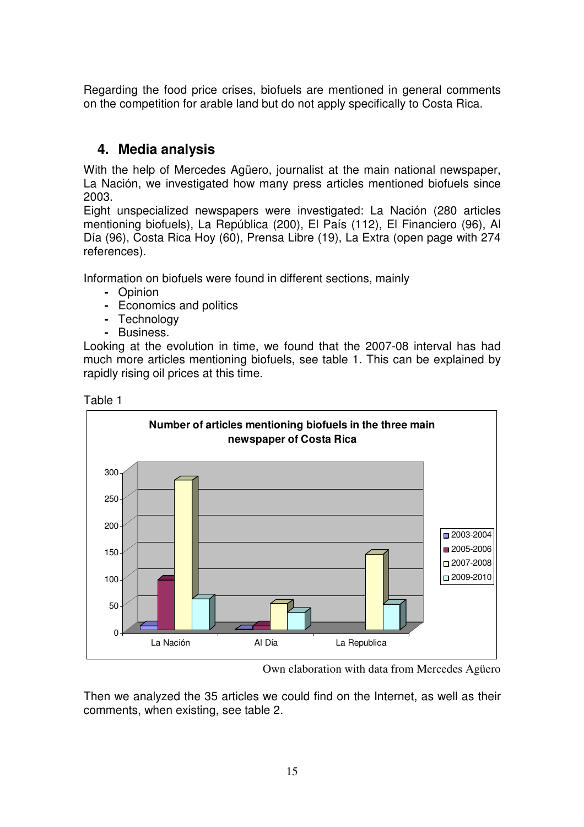Regarding the food price crises, biofuels are mentioned in general comments on the competition for arable land but do not apply specifically to Costa Rica.

## **4. Media analysis**

With the help of Mercedes Agüero, journalist at the main national newspaper, La Nación, we investigated how many press articles mentioned biofuels since 2003.

Eight unspecialized newspapers were investigated: La Nación (280 articles mentioning biofuels), La República (200), El País (112), El Financiero (96), Al Día (96), Costa Rica Hoy (60), Prensa Libre (19), La Extra (open page with 274 references).

Information on biofuels were found in different sections, mainly

- Opinion
- Economics and politics
- Technology
- Business.

Looking at the evolution in time, we found that the 2007-08 interval has had much more articles mentioning biofuels, see table 1. This can be explained by rapidly rising oil prices at this time.





Own elaboration with data from Mercedes Agüero

Then we analyzed the 35 articles we could find on the Internet, as well as their comments, when existing, see table 2.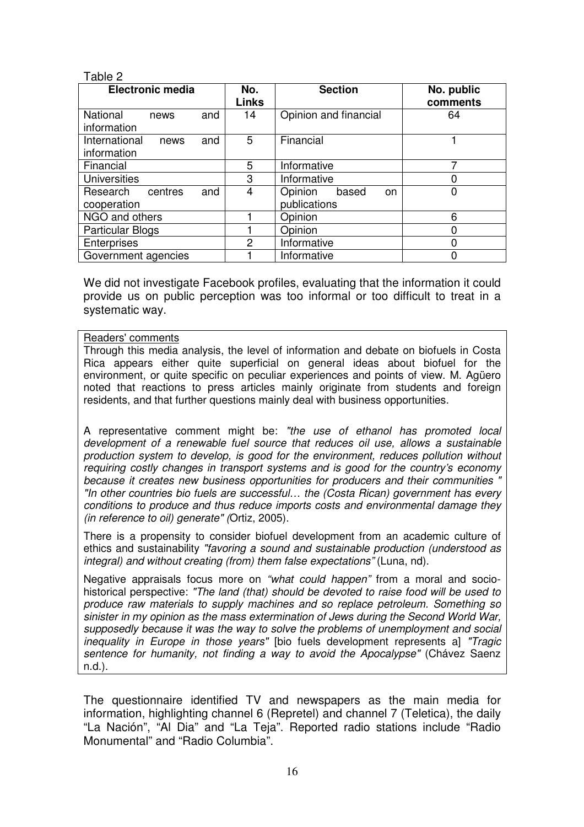#### Table 2

| <b>Electronic media</b>                |     | No.<br><b>Links</b> | <b>Section</b>                         | No. public<br>comments |
|----------------------------------------|-----|---------------------|----------------------------------------|------------------------|
| <b>National</b><br>news<br>information | and | 14                  | Opinion and financial                  | 64                     |
| International<br>news<br>information   | and | 5                   | Financial                              |                        |
| Financial                              |     | 5                   | Informative                            |                        |
| <b>Universities</b>                    |     | 3                   | Informative                            |                        |
| Research<br>centres<br>cooperation     | and | 4                   | Opinion<br>based<br>on<br>publications |                        |
| NGO and others                         |     |                     | Opinion                                | 6                      |
| <b>Particular Blogs</b>                |     |                     | Opinion                                |                        |
| Enterprises                            |     | $\overline{2}$      | Informative                            |                        |
| Government agencies                    |     |                     | Informative                            |                        |

We did not investigate Facebook profiles, evaluating that the information it could provide us on public perception was too informal or too difficult to treat in a systematic way.

#### Readers' comments

Through this media analysis, the level of information and debate on biofuels in Costa Rica appears either quite superficial on general ideas about biofuel for the environment, or quite specific on peculiar experiences and points of view. M. Agüero noted that reactions to press articles mainly originate from students and foreign residents, and that further questions mainly deal with business opportunities.

A representative comment might be: "the use of ethanol has promoted local development of a renewable fuel source that reduces oil use, allows a sustainable production system to develop, is good for the environment, reduces pollution without requiring costly changes in transport systems and is good for the country's economy because it creates new business opportunities for producers and their communities "In other countries bio fuels are successful… the (Costa Rican) government has every conditions to produce and thus reduce imports costs and environmental damage they (in reference to oil) generate" (Ortiz, 2005).

There is a propensity to consider biofuel development from an academic culture of ethics and sustainability "favoring a sound and sustainable production (understood as integral) and without creating (from) them false expectations" (Luna, nd).

Negative appraisals focus more on "what could happen" from a moral and sociohistorical perspective: "The land (that) should be devoted to raise food will be used to produce raw materials to supply machines and so replace petroleum. Something so sinister in my opinion as the mass extermination of Jews during the Second World War, supposedly because it was the way to solve the problems of unemployment and social inequality in Europe in those years" [bio fuels development represents a] "Tragic sentence for humanity, not finding a way to avoid the Apocalypse" (Chávez Saenz n.d.).

The questionnaire identified TV and newspapers as the main media for information, highlighting channel 6 (Repretel) and channel 7 (Teletica), the daily "La Nación", "Al Dia" and "La Teja". Reported radio stations include "Radio Monumental" and "Radio Columbia".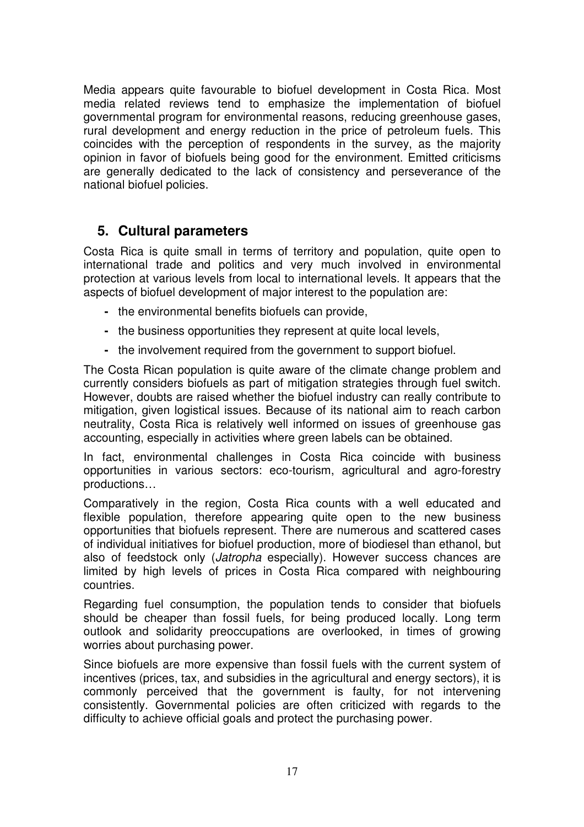Media appears quite favourable to biofuel development in Costa Rica. Most media related reviews tend to emphasize the implementation of biofuel governmental program for environmental reasons, reducing greenhouse gases, rural development and energy reduction in the price of petroleum fuels. This coincides with the perception of respondents in the survey, as the majority opinion in favor of biofuels being good for the environment. Emitted criticisms are generally dedicated to the lack of consistency and perseverance of the national biofuel policies.

## **5. Cultural parameters**

Costa Rica is quite small in terms of territory and population, quite open to international trade and politics and very much involved in environmental protection at various levels from local to international levels. It appears that the aspects of biofuel development of major interest to the population are:

- the environmental benefits biofuels can provide,
- the business opportunities they represent at quite local levels,
- the involvement required from the government to support biofuel.

The Costa Rican population is quite aware of the climate change problem and currently considers biofuels as part of mitigation strategies through fuel switch. However, doubts are raised whether the biofuel industry can really contribute to mitigation, given logistical issues. Because of its national aim to reach carbon neutrality, Costa Rica is relatively well informed on issues of greenhouse gas accounting, especially in activities where green labels can be obtained.

In fact, environmental challenges in Costa Rica coincide with business opportunities in various sectors: eco-tourism, agricultural and agro-forestry productions…

Comparatively in the region, Costa Rica counts with a well educated and flexible population, therefore appearing quite open to the new business opportunities that biofuels represent. There are numerous and scattered cases of individual initiatives for biofuel production, more of biodiesel than ethanol, but also of feedstock only (Jatropha especially). However success chances are limited by high levels of prices in Costa Rica compared with neighbouring countries.

Regarding fuel consumption, the population tends to consider that biofuels should be cheaper than fossil fuels, for being produced locally. Long term outlook and solidarity preoccupations are overlooked, in times of growing worries about purchasing power.

Since biofuels are more expensive than fossil fuels with the current system of incentives (prices, tax, and subsidies in the agricultural and energy sectors), it is commonly perceived that the government is faulty, for not intervening consistently. Governmental policies are often criticized with regards to the difficulty to achieve official goals and protect the purchasing power.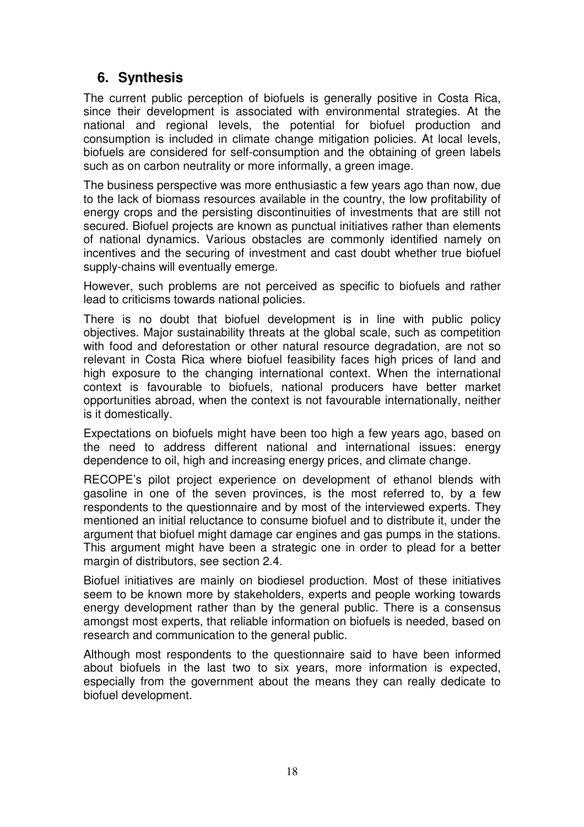## **6. Synthesis**

The current public perception of biofuels is generally positive in Costa Rica, since their development is associated with environmental strategies. At the national and regional levels, the potential for biofuel production and consumption is included in climate change mitigation policies. At local levels, biofuels are considered for self-consumption and the obtaining of green labels such as on carbon neutrality or more informally, a green image.

The business perspective was more enthusiastic a few years ago than now, due to the lack of biomass resources available in the country, the low profitability of energy crops and the persisting discontinuities of investments that are still not secured. Biofuel projects are known as punctual initiatives rather than elements of national dynamics. Various obstacles are commonly identified namely on incentives and the securing of investment and cast doubt whether true biofuel supply-chains will eventually emerge.

However, such problems are not perceived as specific to biofuels and rather lead to criticisms towards national policies.

There is no doubt that biofuel development is in line with public policy objectives. Major sustainability threats at the global scale, such as competition with food and deforestation or other natural resource degradation, are not so relevant in Costa Rica where biofuel feasibility faces high prices of land and high exposure to the changing international context. When the international context is favourable to biofuels, national producers have better market opportunities abroad, when the context is not favourable internationally, neither is it domestically.

Expectations on biofuels might have been too high a few years ago, based on the need to address different national and international issues: energy dependence to oil, high and increasing energy prices, and climate change.

RECOPE's pilot project experience on development of ethanol blends with gasoline in one of the seven provinces, is the most referred to, by a few respondents to the questionnaire and by most of the interviewed experts. They mentioned an initial reluctance to consume biofuel and to distribute it, under the argument that biofuel might damage car engines and gas pumps in the stations. This argument might have been a strategic one in order to plead for a better margin of distributors, see section 2.4.

Biofuel initiatives are mainly on biodiesel production. Most of these initiatives seem to be known more by stakeholders, experts and people working towards energy development rather than by the general public. There is a consensus amongst most experts, that reliable information on biofuels is needed, based on research and communication to the general public.

Although most respondents to the questionnaire said to have been informed about biofuels in the last two to six years, more information is expected, especially from the government about the means they can really dedicate to biofuel development.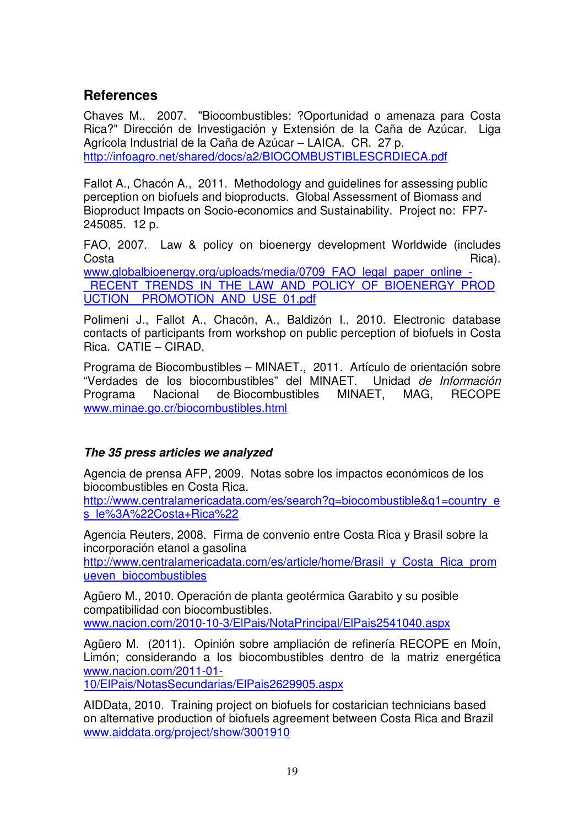## **References**

Chaves M., 2007. "Biocombustibles: ?Oportunidad o amenaza para Costa Rica?" Dirección de Investigación y Extensión de la Caña de Azúcar. Liga Agrícola Industrial de la Caña de Azúcar – LAICA. CR. 27 p. http://infoagro.net/shared/docs/a2/BIOCOMBUSTIBLESCRDIECA.pdf

Fallot A., Chacón A., 2011. Methodology and guidelines for assessing public perception on biofuels and bioproducts. Global Assessment of Biomass and Bioproduct Impacts on Socio-economics and Sustainability. Project no: FP7- 245085. 12 p.

FAO, 2007. Law & policy on bioenergy development Worldwide (includes Costa di Rica). www.globalbioenergy.org/uploads/media/0709\_FAO\_legal\_paper\_online\_-RECENT\_TRENDS\_IN\_THE\_LAW\_AND\_POLICY\_OF\_BIOENERGY\_PROD UCTION PROMOTION AND USE 01.pdf

Polimeni J., Fallot A., Chacón, A., Baldizón I., 2010. Electronic database contacts of participants from workshop on public perception of biofuels in Costa Rica. CATIE – CIRAD.

Programa de Biocombustibles – MINAET., 2011. Artículo de orientación sobre "Verdades de los biocombustibles" del MINAET. Unidad de Información Programa Nacional de Biocombustibles MINAET, MAG, RECOPE www.minae.go.cr/biocombustibles.html

### **The 35 press articles we analyzed**

Agencia de prensa AFP, 2009. Notas sobre los impactos económicos de los biocombustibles en Costa Rica.

http://www.centralamericadata.com/es/search?q=biocombustible&q1=country\_e s\_le%3A%22Costa+Rica%22

Agencia Reuters, 2008. Firma de convenio entre Costa Rica y Brasil sobre la incorporación etanol a gasolina

http://www.centralamericadata.com/es/article/home/Brasil\_y\_Costa\_Rica\_prom ueven\_biocombustibles

Agüero M., 2010. Operación de planta geotérmica Garabito y su posible compatibilidad con biocombustibles. www.nacion.com/2010-10-3/ElPais/NotaPrincipal/ElPais2541040.aspx

Agüero M. (2011). Opinión sobre ampliación de refinería RECOPE en Moín, Limón; considerando a los biocombustibles dentro de la matriz energética www.nacion.com/2011-01-

10/ElPais/NotasSecundarias/ElPais2629905.aspx

AIDData, 2010. Training project on biofuels for costarician technicians based on alternative production of biofuels agreement between Costa Rica and Brazil www.aiddata.org/project/show/3001910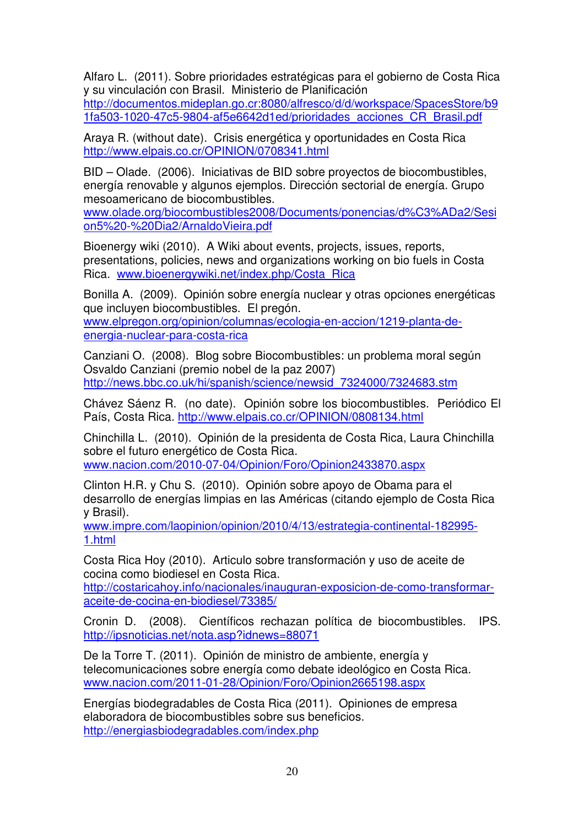Alfaro L. (2011). Sobre prioridades estratégicas para el gobierno de Costa Rica y su vinculación con Brasil. Ministerio de Planificación http://documentos.mideplan.go.cr:8080/alfresco/d/d/workspace/SpacesStore/b9 1fa503-1020-47c5-9804-af5e6642d1ed/prioridades\_acciones\_CR\_Brasil.pdf

Araya R. (without date). Crisis energética y oportunidades en Costa Rica http://www.elpais.co.cr/OPINION/0708341.html

BID – Olade. (2006). Iniciativas de BID sobre proyectos de biocombustibles, energía renovable y algunos ejemplos. Dirección sectorial de energía. Grupo mesoamericano de biocombustibles.

www.olade.org/biocombustibles2008/Documents/ponencias/d%C3%ADa2/Sesi on5%20-%20Dia2/ArnaldoVieira.pdf

Bioenergy wiki (2010). A Wiki about events, projects, issues, reports, presentations, policies, news and organizations working on bio fuels in Costa Rica. www.bioenergywiki.net/index.php/Costa\_Rica

Bonilla A. (2009). Opinión sobre energía nuclear y otras opciones energéticas que incluyen biocombustibles. El pregón. www.elpregon.org/opinion/columnas/ecologia-en-accion/1219-planta-deenergia-nuclear-para-costa-rica

Canziani O. (2008). Blog sobre Biocombustibles: un problema moral según Osvaldo Canziani (premio nobel de la paz 2007) http://news.bbc.co.uk/hi/spanish/science/newsid\_7324000/7324683.stm

Chávez Sáenz R. (no date). Opinión sobre los biocombustibles. Periódico El País, Costa Rica. http://www.elpais.co.cr/OPINION/0808134.html

Chinchilla L. (2010). Opinión de la presidenta de Costa Rica, Laura Chinchilla sobre el futuro energético de Costa Rica. www.nacion.com/2010-07-04/Opinion/Foro/Opinion2433870.aspx

Clinton H.R. y Chu S. (2010). Opinión sobre apoyo de Obama para el desarrollo de energías limpias en las Américas (citando ejemplo de Costa Rica y Brasil).

www.impre.com/laopinion/opinion/2010/4/13/estrategia-continental-182995- 1.html

Costa Rica Hoy (2010). Articulo sobre transformación y uso de aceite de cocina como biodiesel en Costa Rica.

http://costaricahoy.info/nacionales/inauguran-exposicion-de-como-transformaraceite-de-cocina-en-biodiesel/73385/

Cronin D. (2008). Científicos rechazan política de biocombustibles. IPS. http://ipsnoticias.net/nota.asp?idnews=88071

De la Torre T. (2011). Opinión de ministro de ambiente, energía y telecomunicaciones sobre energía como debate ideológico en Costa Rica. www.nacion.com/2011-01-28/Opinion/Foro/Opinion2665198.aspx

Energías biodegradables de Costa Rica (2011). Opiniones de empresa elaboradora de biocombustibles sobre sus beneficios. http://energiasbiodegradables.com/index.php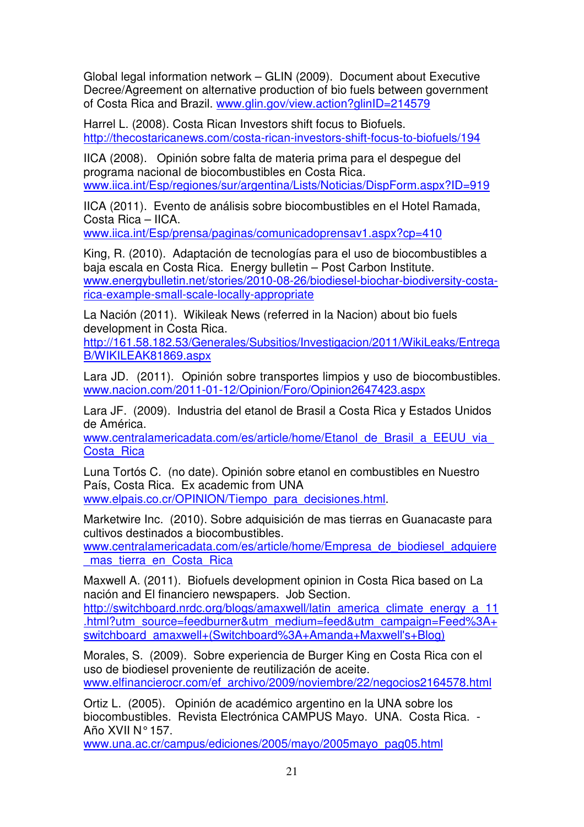Global legal information network – GLIN (2009). Document about Executive Decree/Agreement on alternative production of bio fuels between government of Costa Rica and Brazil. www.glin.gov/view.action?glinID=214579

Harrel L. (2008). Costa Rican Investors shift focus to Biofuels. http://thecostaricanews.com/costa-rican-investors-shift-focus-to-biofuels/194

IICA (2008). Opinión sobre falta de materia prima para el despegue del programa nacional de biocombustibles en Costa Rica. www.iica.int/Esp/regiones/sur/argentina/Lists/Noticias/DispForm.aspx?ID=919

IICA (2011). Evento de análisis sobre biocombustibles en el Hotel Ramada, Costa Rica – IICA.

www.iica.int/Esp/prensa/paginas/comunicadoprensav1.aspx?cp=410

King, R. (2010). Adaptación de tecnologías para el uso de biocombustibles a baja escala en Costa Rica. Energy bulletin – Post Carbon Institute. www.energybulletin.net/stories/2010-08-26/biodiesel-biochar-biodiversity-costarica-example-small-scale-locally-appropriate

La Nación (2011). Wikileak News (referred in la Nacion) about bio fuels development in Costa Rica.

http://161.58.182.53/Generales/Subsitios/Investigacion/2011/WikiLeaks/Entrega B/WIKILEAK81869.aspx

Lara JD. (2011). Opinión sobre transportes limpios y uso de biocombustibles. www.nacion.com/2011-01-12/Opinion/Foro/Opinion2647423.aspx

Lara JF. (2009). Industria del etanol de Brasil a Costa Rica y Estados Unidos de América.

www.centralamericadata.com/es/article/home/Etanol\_de\_Brasil\_a\_EEUU\_via Costa Rica

Luna Tortós C. (no date). Opinión sobre etanol en combustibles en Nuestro País, Costa Rica. Ex academic from UNA www.elpais.co.cr/OPINION/Tiempo\_para\_decisiones.html.

Marketwire Inc. (2010). Sobre adquisición de mas tierras en Guanacaste para cultivos destinados a biocombustibles.

www.centralamericadata.com/es/article/home/Empresa\_de\_biodiesel\_adquiere mas tierra en Costa Rica

Maxwell A. (2011). Biofuels development opinion in Costa Rica based on La nación and El financiero newspapers. Job Section.

http://switchboard.nrdc.org/blogs/amaxwell/latin\_america\_climate\_energy\_a\_11 .html?utm\_source=feedburner&utm\_medium=feed&utm\_campaign=Feed%3A+ switchboard\_amaxwell+(Switchboard%3A+Amanda+Maxwell's+Blog)

Morales, S. (2009). Sobre experiencia de Burger King en Costa Rica con el uso de biodiesel proveniente de reutilización de aceite. www.elfinancierocr.com/ef\_archivo/2009/noviembre/22/negocios2164578.html

Ortiz L. (2005). Opinión de académico argentino en la UNA sobre los biocombustibles. Revista Electrónica CAMPUS Mayo. UNA. Costa Rica. - Año XVII N° 157.

www.una.ac.cr/campus/ediciones/2005/mayo/2005mayo\_pag05.html